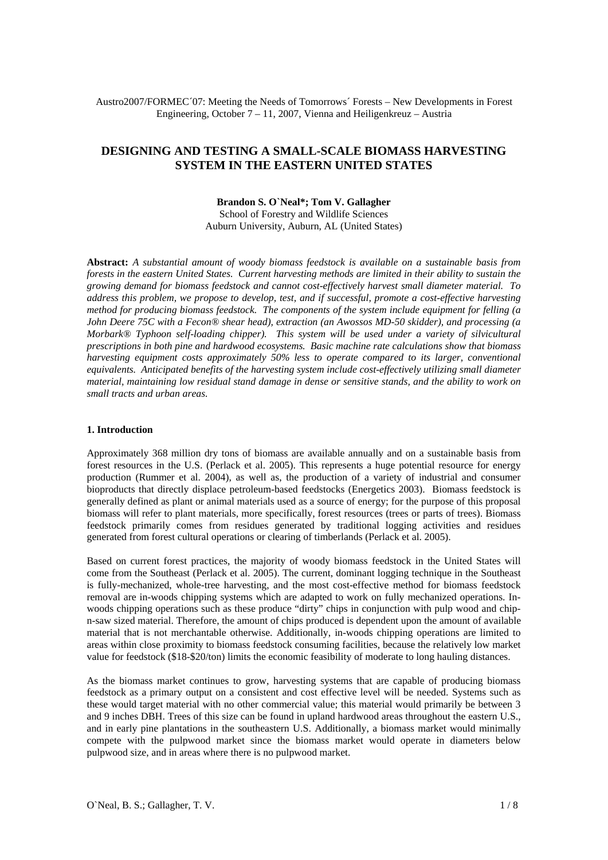Austro2007/FORMEC´07: Meeting the Needs of Tomorrows´ Forests – New Developments in Forest Engineering, October  $7 - 11$ , 2007, Vienna and Heiligenkreuz – Austria

# **DESIGNING AND TESTING A SMALL-SCALE BIOMASS HARVESTING SYSTEM IN THE EASTERN UNITED STATES**

#### **Brandon S. O`Neal\*; Tom V. Gallagher**

School of Forestry and Wildlife Sciences Auburn University, Auburn, AL (United States)

**Abstract:** *A substantial amount of woody biomass feedstock is available on a sustainable basis from forests in the eastern United States. Current harvesting methods are limited in their ability to sustain the growing demand for biomass feedstock and cannot cost-effectively harvest small diameter material. To address this problem, we propose to develop, test, and if successful, promote a cost-effective harvesting method for producing biomass feedstock. The components of the system include equipment for felling (a John Deere 75C with a Fecon® shear head), extraction (an Awossos MD-50 skidder), and processing (a Morbark® Typhoon self-loading chipper). This system will be used under a variety of silvicultural prescriptions in both pine and hardwood ecosystems. Basic machine rate calculations show that biomass harvesting equipment costs approximately 50% less to operate compared to its larger, conventional equivalents. Anticipated benefits of the harvesting system include cost-effectively utilizing small diameter material, maintaining low residual stand damage in dense or sensitive stands, and the ability to work on small tracts and urban areas.* 

### **1. Introduction**

Approximately 368 million dry tons of biomass are available annually and on a sustainable basis from forest resources in the U.S. (Perlack et al. 2005). This represents a huge potential resource for energy production (Rummer et al. 2004), as well as, the production of a variety of industrial and consumer bioproducts that directly displace petroleum-based feedstocks (Energetics 2003). Biomass feedstock is generally defined as plant or animal materials used as a source of energy; for the purpose of this proposal biomass will refer to plant materials, more specifically, forest resources (trees or parts of trees). Biomass feedstock primarily comes from residues generated by traditional logging activities and residues generated from forest cultural operations or clearing of timberlands (Perlack et al. 2005).

Based on current forest practices, the majority of woody biomass feedstock in the United States will come from the Southeast (Perlack et al. 2005). The current, dominant logging technique in the Southeast is fully-mechanized, whole-tree harvesting, and the most cost-effective method for biomass feedstock removal are in-woods chipping systems which are adapted to work on fully mechanized operations. Inwoods chipping operations such as these produce "dirty" chips in conjunction with pulp wood and chipn-saw sized material. Therefore, the amount of chips produced is dependent upon the amount of available material that is not merchantable otherwise. Additionally, in-woods chipping operations are limited to areas within close proximity to biomass feedstock consuming facilities, because the relatively low market value for feedstock (\$18-\$20/ton) limits the economic feasibility of moderate to long hauling distances.

As the biomass market continues to grow, harvesting systems that are capable of producing biomass feedstock as a primary output on a consistent and cost effective level will be needed. Systems such as these would target material with no other commercial value; this material would primarily be between 3 and 9 inches DBH. Trees of this size can be found in upland hardwood areas throughout the eastern U.S., and in early pine plantations in the southeastern U.S. Additionally, a biomass market would minimally compete with the pulpwood market since the biomass market would operate in diameters below pulpwood size, and in areas where there is no pulpwood market.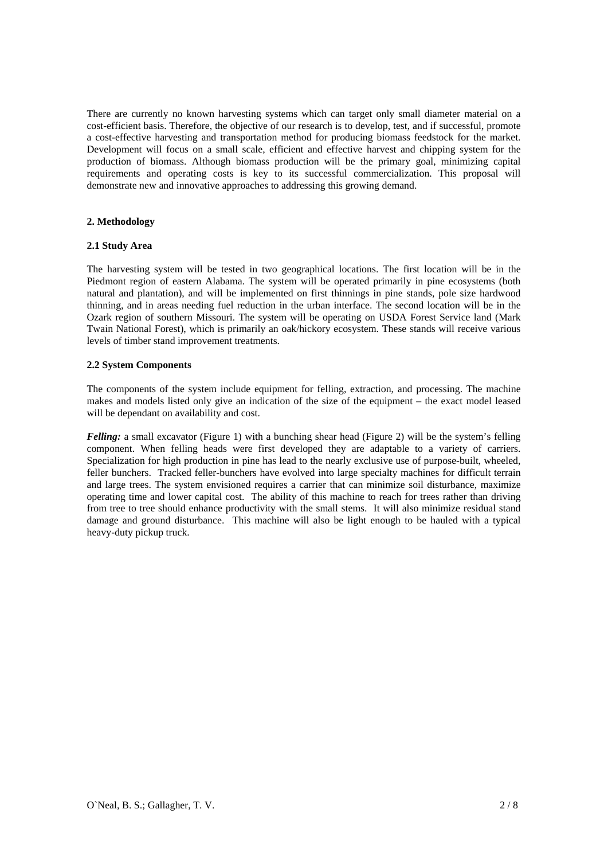There are currently no known harvesting systems which can target only small diameter material on a cost-efficient basis. Therefore, the objective of our research is to develop, test, and if successful, promote a cost-effective harvesting and transportation method for producing biomass feedstock for the market. Development will focus on a small scale, efficient and effective harvest and chipping system for the production of biomass. Although biomass production will be the primary goal, minimizing capital requirements and operating costs is key to its successful commercialization. This proposal will demonstrate new and innovative approaches to addressing this growing demand.

# **2. Methodology**

# **2.1 Study Area**

The harvesting system will be tested in two geographical locations. The first location will be in the Piedmont region of eastern Alabama. The system will be operated primarily in pine ecosystems (both natural and plantation), and will be implemented on first thinnings in pine stands, pole size hardwood thinning, and in areas needing fuel reduction in the urban interface. The second location will be in the Ozark region of southern Missouri. The system will be operating on USDA Forest Service land (Mark Twain National Forest), which is primarily an oak/hickory ecosystem. These stands will receive various levels of timber stand improvement treatments.

# **2.2 System Components**

The components of the system include equipment for felling, extraction, and processing. The machine makes and models listed only give an indication of the size of the equipment – the exact model leased will be dependant on availability and cost.

*Felling:* a small excavator (Figure 1) with a bunching shear head (Figure 2) will be the system's felling component. When felling heads were first developed they are adaptable to a variety of carriers. Specialization for high production in pine has lead to the nearly exclusive use of purpose-built, wheeled, feller bunchers. Tracked feller-bunchers have evolved into large specialty machines for difficult terrain and large trees. The system envisioned requires a carrier that can minimize soil disturbance, maximize operating time and lower capital cost. The ability of this machine to reach for trees rather than driving from tree to tree should enhance productivity with the small stems. It will also minimize residual stand damage and ground disturbance. This machine will also be light enough to be hauled with a typical heavy-duty pickup truck.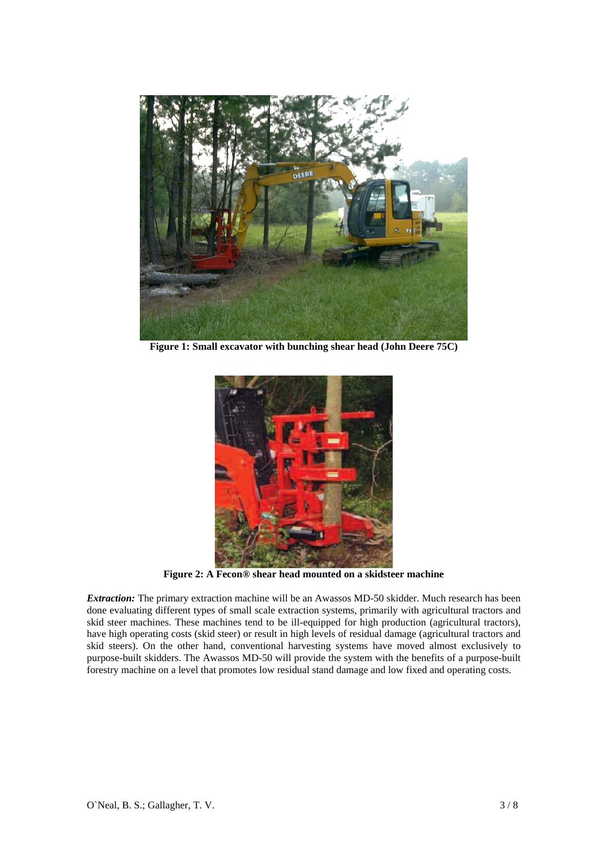

**Figure 1: Small excavator with bunching shear head (John Deere 75C)** 



**Figure 2: A Fecon® shear head mounted on a skidsteer machine** 

*Extraction:* The primary extraction machine will be an Awassos MD-50 skidder. Much research has been done evaluating different types of small scale extraction systems, primarily with agricultural tractors and skid steer machines. These machines tend to be ill-equipped for high production (agricultural tractors), have high operating costs (skid steer) or result in high levels of residual damage (agricultural tractors and skid steers). On the other hand, conventional harvesting systems have moved almost exclusively to purpose-built skidders. The Awassos MD-50 will provide the system with the benefits of a purpose-built forestry machine on a level that promotes low residual stand damage and low fixed and operating costs.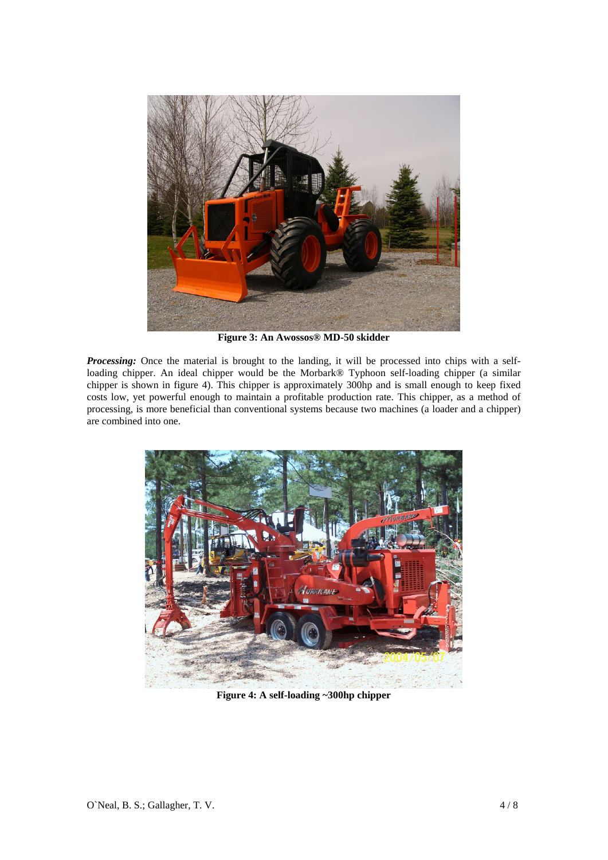

**Figure 3: An Awossos® MD-50 skidder** 

*Processing:* Once the material is brought to the landing, it will be processed into chips with a selfloading chipper. An ideal chipper would be the Morbark® Typhoon self-loading chipper (a similar chipper is shown in figure 4). This chipper is approximately 300hp and is small enough to keep fixed costs low, yet powerful enough to maintain a profitable production rate. This chipper, as a method of processing, is more beneficial than conventional systems because two machines (a loader and a chipper) are combined into one.



**Figure 4: A self-loading ~300hp chipper**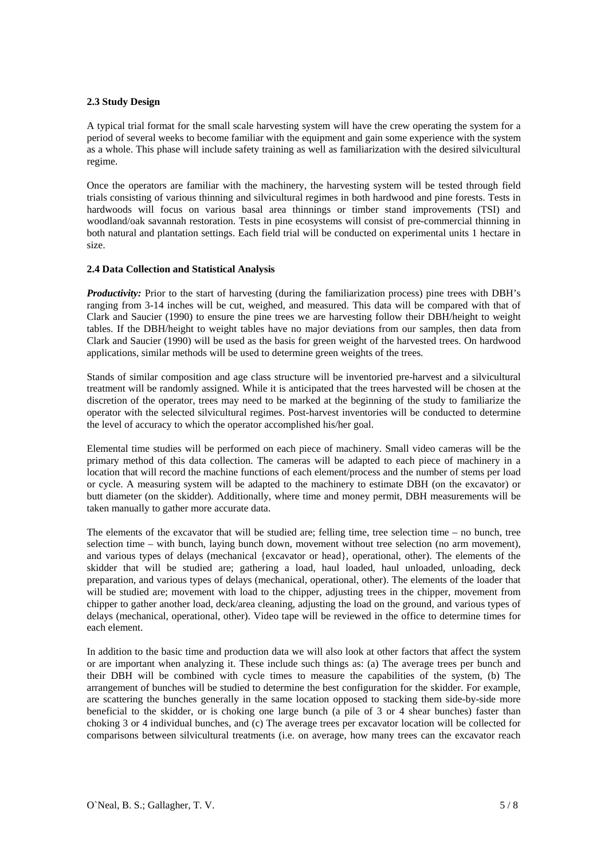# **2.3 Study Design**

A typical trial format for the small scale harvesting system will have the crew operating the system for a period of several weeks to become familiar with the equipment and gain some experience with the system as a whole. This phase will include safety training as well as familiarization with the desired silvicultural regime.

Once the operators are familiar with the machinery, the harvesting system will be tested through field trials consisting of various thinning and silvicultural regimes in both hardwood and pine forests. Tests in hardwoods will focus on various basal area thinnings or timber stand improvements (TSI) and woodland/oak savannah restoration. Tests in pine ecosystems will consist of pre-commercial thinning in both natural and plantation settings. Each field trial will be conducted on experimental units 1 hectare in size.

# **2.4 Data Collection and Statistical Analysis**

*Productivity:* Prior to the start of harvesting (during the familiarization process) pine trees with DBH's ranging from 3-14 inches will be cut, weighed, and measured. This data will be compared with that of Clark and Saucier (1990) to ensure the pine trees we are harvesting follow their DBH/height to weight tables. If the DBH/height to weight tables have no major deviations from our samples, then data from Clark and Saucier (1990) will be used as the basis for green weight of the harvested trees. On hardwood applications, similar methods will be used to determine green weights of the trees.

Stands of similar composition and age class structure will be inventoried pre-harvest and a silvicultural treatment will be randomly assigned. While it is anticipated that the trees harvested will be chosen at the discretion of the operator, trees may need to be marked at the beginning of the study to familiarize the operator with the selected silvicultural regimes. Post-harvest inventories will be conducted to determine the level of accuracy to which the operator accomplished his/her goal.

Elemental time studies will be performed on each piece of machinery. Small video cameras will be the primary method of this data collection. The cameras will be adapted to each piece of machinery in a location that will record the machine functions of each element/process and the number of stems per load or cycle. A measuring system will be adapted to the machinery to estimate DBH (on the excavator) or butt diameter (on the skidder). Additionally, where time and money permit, DBH measurements will be taken manually to gather more accurate data.

The elements of the excavator that will be studied are; felling time, tree selection time – no bunch, tree selection time – with bunch, laying bunch down, movement without tree selection (no arm movement), and various types of delays (mechanical {excavator or head}, operational, other). The elements of the skidder that will be studied are; gathering a load, haul loaded, haul unloaded, unloading, deck preparation, and various types of delays (mechanical, operational, other). The elements of the loader that will be studied are; movement with load to the chipper, adjusting trees in the chipper, movement from chipper to gather another load, deck/area cleaning, adjusting the load on the ground, and various types of delays (mechanical, operational, other). Video tape will be reviewed in the office to determine times for each element.

In addition to the basic time and production data we will also look at other factors that affect the system or are important when analyzing it. These include such things as: (a) The average trees per bunch and their DBH will be combined with cycle times to measure the capabilities of the system, (b) The arrangement of bunches will be studied to determine the best configuration for the skidder. For example, are scattering the bunches generally in the same location opposed to stacking them side-by-side more beneficial to the skidder, or is choking one large bunch (a pile of 3 or 4 shear bunches) faster than choking 3 or 4 individual bunches, and (c) The average trees per excavator location will be collected for comparisons between silvicultural treatments (i.e. on average, how many trees can the excavator reach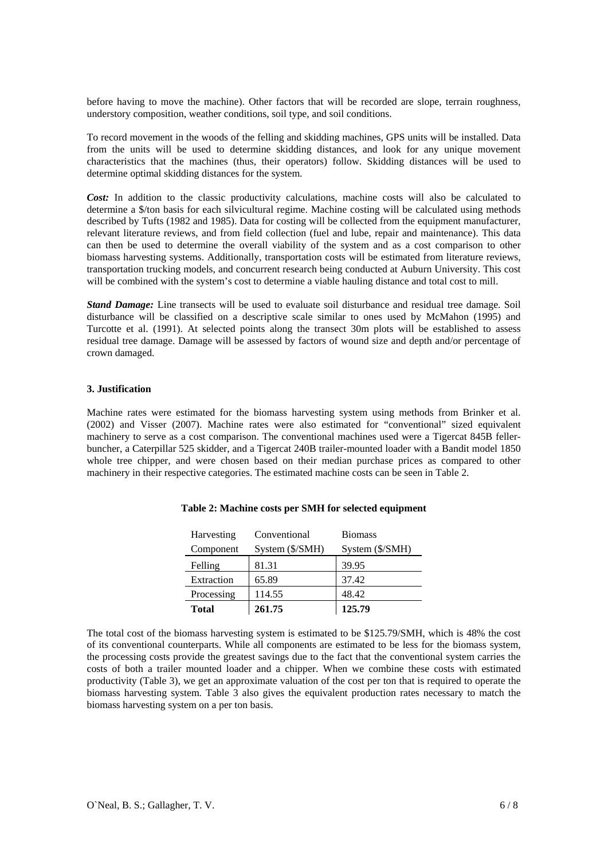before having to move the machine). Other factors that will be recorded are slope, terrain roughness, understory composition, weather conditions, soil type, and soil conditions.

To record movement in the woods of the felling and skidding machines, GPS units will be installed. Data from the units will be used to determine skidding distances, and look for any unique movement characteristics that the machines (thus, their operators) follow. Skidding distances will be used to determine optimal skidding distances for the system.

Cost: In addition to the classic productivity calculations, machine costs will also be calculated to determine a \$/ton basis for each silvicultural regime. Machine costing will be calculated using methods described by Tufts (1982 and 1985). Data for costing will be collected from the equipment manufacturer, relevant literature reviews, and from field collection (fuel and lube, repair and maintenance). This data can then be used to determine the overall viability of the system and as a cost comparison to other biomass harvesting systems. Additionally, transportation costs will be estimated from literature reviews, transportation trucking models, and concurrent research being conducted at Auburn University. This cost will be combined with the system's cost to determine a viable hauling distance and total cost to mill.

*Stand Damage:* Line transects will be used to evaluate soil disturbance and residual tree damage. Soil disturbance will be classified on a descriptive scale similar to ones used by McMahon (1995) and Turcotte et al. (1991). At selected points along the transect 30m plots will be established to assess residual tree damage. Damage will be assessed by factors of wound size and depth and/or percentage of crown damaged.

### **3. Justification**

Machine rates were estimated for the biomass harvesting system using methods from Brinker et al. (2002) and Visser (2007). Machine rates were also estimated for "conventional" sized equivalent machinery to serve as a cost comparison. The conventional machines used were a Tigercat 845B fellerbuncher, a Caterpillar 525 skidder, and a Tigercat 240B trailer-mounted loader with a Bandit model 1850 whole tree chipper, and were chosen based on their median purchase prices as compared to other machinery in their respective categories. The estimated machine costs can be seen in Table 2.

| <b>Total</b> | 261.75          | 125.79          |
|--------------|-----------------|-----------------|
| Processing   | 114.55          | 48.42           |
| Extraction   | 65.89           | 37.42           |
| Felling      | 81.31           | 39.95           |
| Component    | System (\$/SMH) | System (\$/SMH) |
| Harvesting   | Conventional    | <b>Biomass</b>  |

### **Table 2: Machine costs per SMH for selected equipment**

The total cost of the biomass harvesting system is estimated to be \$125.79/SMH, which is 48% the cost of its conventional counterparts. While all components are estimated to be less for the biomass system, the processing costs provide the greatest savings due to the fact that the conventional system carries the costs of both a trailer mounted loader and a chipper. When we combine these costs with estimated productivity (Table 3), we get an approximate valuation of the cost per ton that is required to operate the biomass harvesting system. Table 3 also gives the equivalent production rates necessary to match the biomass harvesting system on a per ton basis.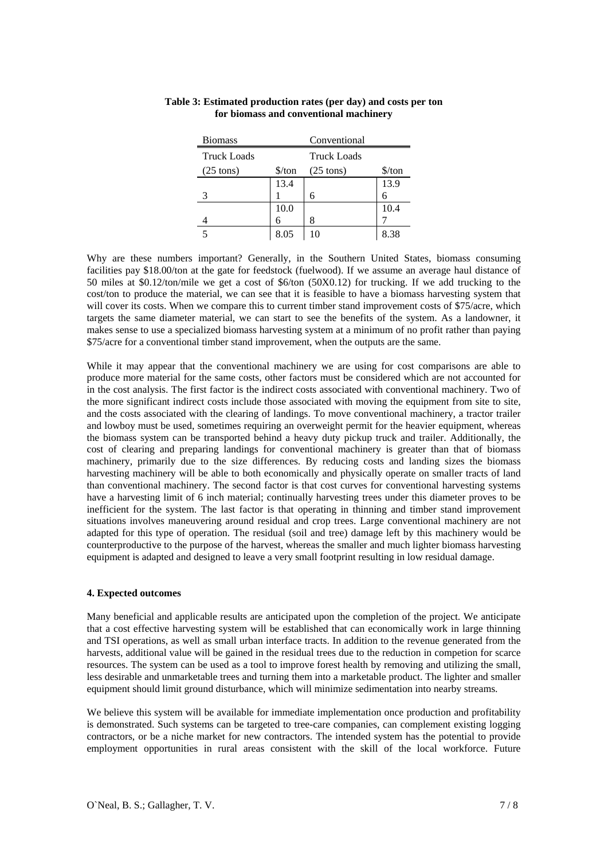| <b>Biomass</b>      |                      | Conventional        |                      |
|---------------------|----------------------|---------------------|----------------------|
| <b>Truck Loads</b>  |                      | <b>Truck Loads</b>  |                      |
| $(25 \text{ tons})$ | $\frac{\sqrt{2}}{2}$ | $(25 \text{ tons})$ | $\frac{\sqrt{2}}{2}$ |
|                     | 13.4                 |                     | 13.9                 |
|                     |                      | 6                   | 6                    |
|                     | 10.0                 |                     | 10.4                 |
|                     |                      | 8                   |                      |
|                     | 8.05                 |                     |                      |

# **Table 3: Estimated production rates (per day) and costs per ton for biomass and conventional machinery**

Why are these numbers important? Generally, in the Southern United States, biomass consuming facilities pay \$18.00/ton at the gate for feedstock (fuelwood). If we assume an average haul distance of 50 miles at \$0.12/ton/mile we get a cost of \$6/ton (50X0.12) for trucking. If we add trucking to the cost/ton to produce the material, we can see that it is feasible to have a biomass harvesting system that will cover its costs. When we compare this to current timber stand improvement costs of \$75/acre, which targets the same diameter material, we can start to see the benefits of the system. As a landowner, it makes sense to use a specialized biomass harvesting system at a minimum of no profit rather than paying \$75/acre for a conventional timber stand improvement, when the outputs are the same.

While it may appear that the conventional machinery we are using for cost comparisons are able to produce more material for the same costs, other factors must be considered which are not accounted for in the cost analysis. The first factor is the indirect costs associated with conventional machinery. Two of the more significant indirect costs include those associated with moving the equipment from site to site, and the costs associated with the clearing of landings. To move conventional machinery, a tractor trailer and lowboy must be used, sometimes requiring an overweight permit for the heavier equipment, whereas the biomass system can be transported behind a heavy duty pickup truck and trailer. Additionally, the cost of clearing and preparing landings for conventional machinery is greater than that of biomass machinery, primarily due to the size differences. By reducing costs and landing sizes the biomass harvesting machinery will be able to both economically and physically operate on smaller tracts of land than conventional machinery. The second factor is that cost curves for conventional harvesting systems have a harvesting limit of 6 inch material; continually harvesting trees under this diameter proves to be inefficient for the system. The last factor is that operating in thinning and timber stand improvement situations involves maneuvering around residual and crop trees. Large conventional machinery are not adapted for this type of operation. The residual (soil and tree) damage left by this machinery would be counterproductive to the purpose of the harvest, whereas the smaller and much lighter biomass harvesting equipment is adapted and designed to leave a very small footprint resulting in low residual damage.

# **4. Expected outcomes**

Many beneficial and applicable results are anticipated upon the completion of the project. We anticipate that a cost effective harvesting system will be established that can economically work in large thinning and TSI operations, as well as small urban interface tracts. In addition to the revenue generated from the harvests, additional value will be gained in the residual trees due to the reduction in competion for scarce resources. The system can be used as a tool to improve forest health by removing and utilizing the small, less desirable and unmarketable trees and turning them into a marketable product. The lighter and smaller equipment should limit ground disturbance, which will minimize sedimentation into nearby streams.

We believe this system will be available for immediate implementation once production and profitability is demonstrated. Such systems can be targeted to tree-care companies, can complement existing logging contractors, or be a niche market for new contractors. The intended system has the potential to provide employment opportunities in rural areas consistent with the skill of the local workforce. Future